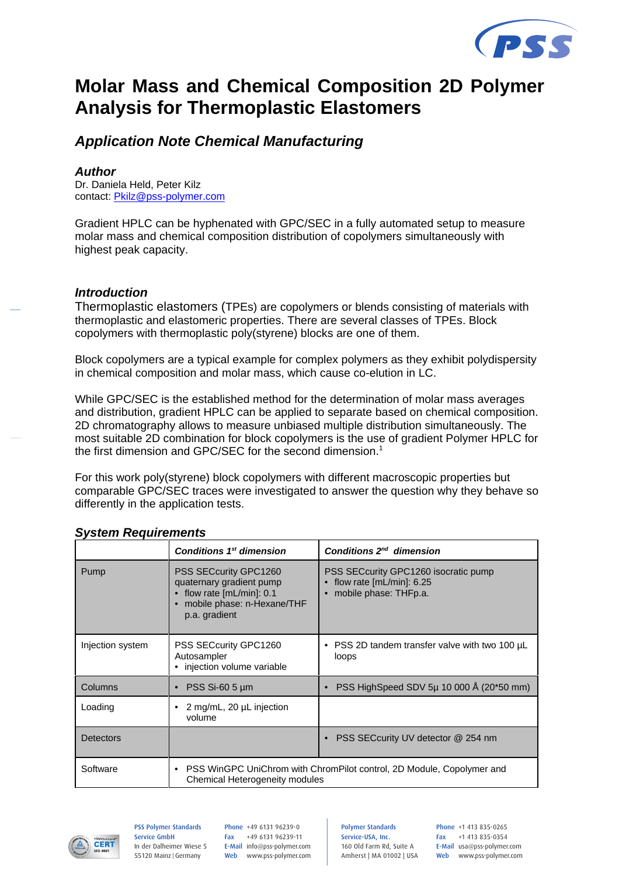

# **Molar Mass and Chemical Composition 2D Polymer Analysis for Thermoplastic Elastomers**

# *Application Note Chemical Manufacturing*

### *Author*

Dr. Daniela Held, Peter Kilz contact: Pkilz@pss-polymer.com

Gradient HPLC can be hyphenated with GPC/SEC in a fully automated setup to measure molar mass and chemical composition distribution of copolymers simultaneously with highest peak capacity.

## *Introduction*

Thermoplastic elastomers (TPEs) are copolymers or blends consisting of materials with thermoplastic and elastomeric properties. There are several classes of TPEs. Block copolymers with thermoplastic poly(styrene) blocks are one of them.

Block copolymers are a typical example for complex polymers as they exhibit polydispersity in chemical composition and molar mass, which cause co-elution in LC.

While GPC/SEC is the established method for the determination of molar mass averages and distribution, gradient HPLC can be applied to separate based on chemical composition. 2D chromatography allows to measure unbiased multiple distribution simultaneously. The most suitable 2D combination for block copolymers is the use of gradient Polymer HPLC for the first dimension and GPC/SEC for the second dimension.<sup>1</sup>

For this work poly(styrene) block copolymers with different macroscopic properties but comparable GPC/SEC traces were investigated to answer the question why they behave so differently in the application tests.

|                  | Conditions 1 <sup>st</sup> dimension                                                                                                  | Conditions 2 <sup>nd</sup> dimension                                                         |
|------------------|---------------------------------------------------------------------------------------------------------------------------------------|----------------------------------------------------------------------------------------------|
| Pump             | PSS SECcurity GPC1260<br>quaternary gradient pump<br>$\bullet$ flow rate [mL/min]: 0.1<br>mobile phase: n-Hexane/THF<br>p.a. gradient | PSS SECcurity GPC1260 isocratic pump<br>flow rate $[mL/min]$ : 6.25<br>mobile phase: THFp.a. |
| Injection system | PSS SECcurity GPC1260<br>Autosampler<br>• injection volume variable                                                                   | • PSS 2D tandem transfer valve with two 100 µL<br>loops                                      |
| <b>Columns</b>   | $PSS$ Si-60 5 $\mu$ m                                                                                                                 | PSS HighSpeed SDV 5µ 10 000 Å (20*50 mm)                                                     |
| Loading          | 2 mg/mL, 20 µL injection<br>٠<br>volume                                                                                               |                                                                                              |
| <b>Detectors</b> |                                                                                                                                       | PSS SECcurity UV detector @ 254 nm                                                           |
| Software         | • PSS WinGPC UniChrom with ChromPilot control, 2D Module, Copolymer and<br>Chemical Heterogeneity modules                             |                                                                                              |

# *System Requirements*



#### PSS Polymer Standards Service GmbH In der Dalheimer Wiese 5 55120 Mainz |Germany

Phone +49 6131 96239-0 Fax +49 6131 96239-11 E-Mail info@pss-polymer.com Web www.pss-polymer.com Polymer Standards Service-USA, Inc. 160 Old Farm Rd, Suite A Amherst | MA 01002 | USA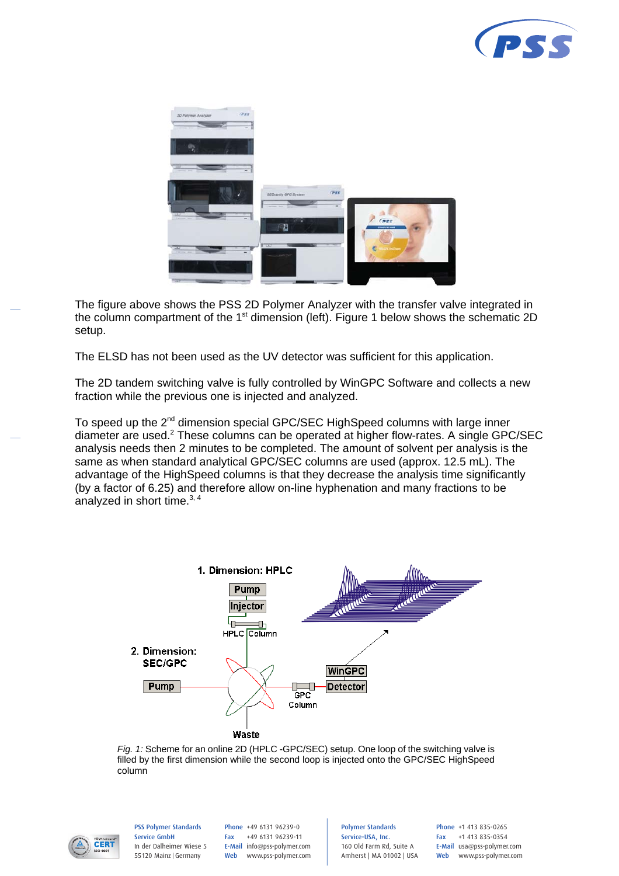



The figure above shows the PSS 2D Polymer Analyzer with the transfer valve integrated in the column compartment of the 1<sup>st</sup> dimension (left). Figure 1 below shows the schematic 2D setup.

The ELSD has not been used as the UV detector was sufficient for this application.

The 2D tandem switching valve is fully controlled by WinGPC Software and collects a new fraction while the previous one is injected and analyzed.

To speed up the 2<sup>nd</sup> dimension special GPC/SEC HighSpeed columns with large inner diameter are used.<sup>2</sup> These columns can be operated at higher flow-rates. A single GPC/SEC analysis needs then 2 minutes to be completed. The amount of solvent per analysis is the same as when standard analytical GPC/SEC columns are used (approx. 12.5 mL). The advantage of the HighSpeed columns is that they decrease the analysis time significantly (by a factor of 6.25) and therefore allow on-line hyphenation and many fractions to be analyzed in short time. $3, 4$ 



*Fig. 1:* Scheme for an online 2D (HPLC -GPC/SEC) setup. One loop of the switching valve is filled by the first dimension while the second loop is injected onto the GPC/SEC HighSpeed column



PSS Polymer Standards Service GmbH In der Dalheimer Wiese 5 55120 Mainz |Germany

Phone +49 6131 96239-0 Fax +49 6131 96239-11 E-Mail info@pss-polymer.com Web www.pss-polymer.com Polymer Standards Service-USA, Inc. 160 Old Farm Rd, Suite A Amherst | MA 01002 | USA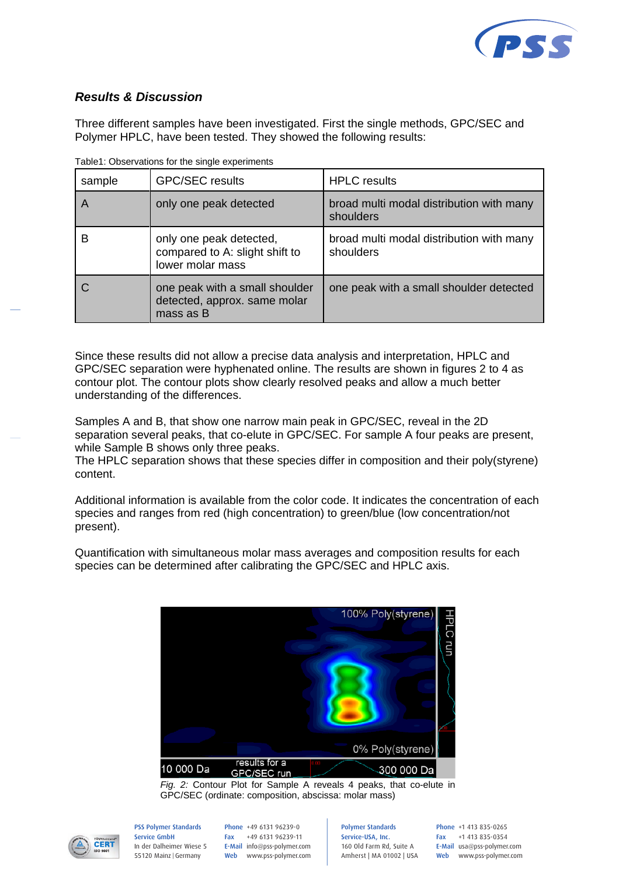

# *Results & Discussion*

Three different samples have been investigated. First the single methods, GPC/SEC and Polymer HPLC, have been tested. They showed the following results:

| sample | <b>GPC/SEC results</b>                                                        | <b>HPLC</b> results                                   |
|--------|-------------------------------------------------------------------------------|-------------------------------------------------------|
|        | only one peak detected                                                        | broad multi modal distribution with many<br>shoulders |
| В      | only one peak detected,<br>compared to A: slight shift to<br>lower molar mass | broad multi modal distribution with many<br>shoulders |
|        | one peak with a small shoulder<br>detected, approx. same molar<br>mass as B   | one peak with a small shoulder detected               |

Table1: Observations for the single experiments

Since these results did not allow a precise data analysis and interpretation, HPLC and GPC/SEC separation were hyphenated online. The results are shown in figures 2 to 4 as contour plot. The contour plots show clearly resolved peaks and allow a much better understanding of the differences.

Samples A and B, that show one narrow main peak in GPC/SEC, reveal in the 2D separation several peaks, that co-elute in GPC/SEC. For sample A four peaks are present, while Sample B shows only three peaks.

The HPLC separation shows that these species differ in composition and their poly(styrene) content.

Additional information is available from the color code. It indicates the concentration of each species and ranges from red (high concentration) to green/blue (low concentration/not present).

Quantification with simultaneous molar mass averages and composition results for each species can be determined after calibrating the GPC/SEC and HPLC axis.



*Fig. 2:* Contour Plot for Sample A reveals 4 peaks, that co-elute in GPC/SEC (ordinate: composition, abscissa: molar mass)



PSS Polymer Standards Service GmbH In der Dalheimer Wiese 5 55120 Mainz |Germany

Phone +49 6131 96239-0 Fax +49 6131 96239-11 E-Mail info@pss-polymer.com Web www.pss-polymer.com Polymer Standards Service-USA, Inc. 160 Old Farm Rd, Suite A Amherst | MA 01002 | USA